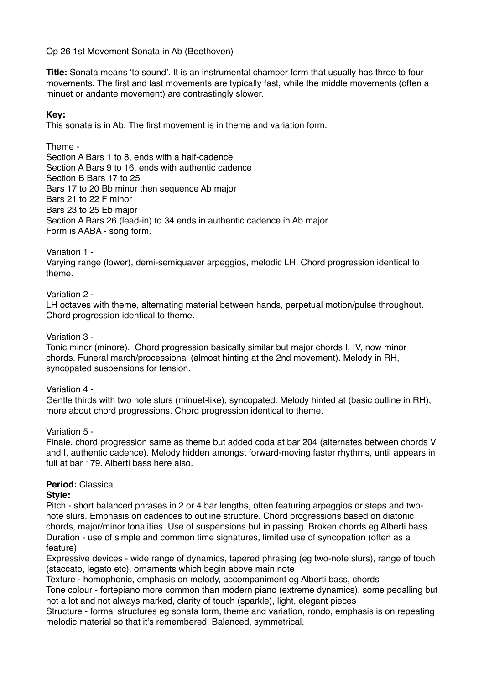Op 26 1st Movement Sonata in Ab (Beethoven)

**Title:** Sonata means 'to sound'. It is an instrumental chamber form that usually has three to four movements. The first and last movements are typically fast, while the middle movements (often a minuet or andante movement) are contrastingly slower.

## **Key:**

This sonata is in Ab. The first movement is in theme and variation form.

Theme - Section A Bars 1 to 8, ends with a half-cadence Section A Bars 9 to 16, ends with authentic cadence Section B Bars 17 to 25 Bars 17 to 20 Bb minor then sequence Ab major Bars 21 to 22 F minor Bars 23 to 25 Eb major Section A Bars 26 (lead-in) to 34 ends in authentic cadence in Ab major. Form is AABA - song form.

Variation 1 -

Varying range (lower), demi-semiquaver arpeggios, melodic LH. Chord progression identical to theme.

Variation 2 -

LH octaves with theme, alternating material between hands, perpetual motion/pulse throughout. Chord progression identical to theme.

Variation 3 -

Tonic minor (minore). Chord progression basically similar but major chords I, IV, now minor chords. Funeral march/processional (almost hinting at the 2nd movement). Melody in RH, syncopated suspensions for tension.

Variation 4 -

Gentle thirds with two note slurs (minuet-like), syncopated. Melody hinted at (basic outline in RH), more about chord progressions. Chord progression identical to theme.

Variation 5 -

Finale, chord progression same as theme but added coda at bar 204 (alternates between chords V and I, authentic cadence). Melody hidden amongst forward-moving faster rhythms, until appears in full at bar 179. Alberti bass here also.

# **Period:** Classical

### **Style:**

Pitch - short balanced phrases in 2 or 4 bar lengths, often featuring arpeggios or steps and twonote slurs. Emphasis on cadences to outline structure. Chord progressions based on diatonic chords, major/minor tonalities. Use of suspensions but in passing. Broken chords eg Alberti bass. Duration - use of simple and common time signatures, limited use of syncopation (often as a feature)

Expressive devices - wide range of dynamics, tapered phrasing (eg two-note slurs), range of touch (staccato, legato etc), ornaments which begin above main note

Texture - homophonic, emphasis on melody, accompaniment eg Alberti bass, chords

Tone colour - fortepiano more common than modern piano (extreme dynamics), some pedalling but not a lot and not always marked, clarity of touch (sparkle), light, elegant pieces

Structure - formal structures eg sonata form, theme and variation, rondo, emphasis is on repeating melodic material so that it's remembered. Balanced, symmetrical.